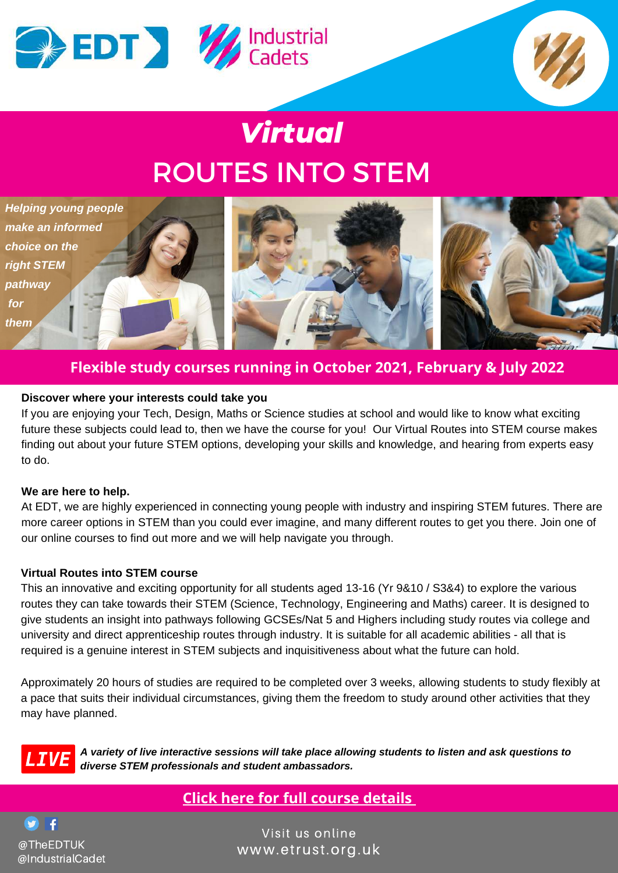

# *Virtual* ROUTES INTO STEM



### **Flexible study courses running in October 2021, February & July 2022**

#### **Discover where your interests could take you**

If you are enjoying your Tech, Design, Maths or Science studies at school and would like to know what exciting future these subjects could lead to, then we have the course for you! Our Virtual Routes into STEM course makes finding out about your future STEM options, developing your skills and knowledge, and hearing from experts easy to do.

#### **We are here to help.**

At EDT, we are highly experienced in connecting young people with industry and inspiring STEM futures. There are more career options in STEM than you could ever imagine, and many different routes to get you there. Join one of our online courses to find out more and we will help navigate you through.

#### **Virtual Routes into STEM course**

This an innovative and exciting opportunity for all students aged 13-16 (Yr 9&10 / S3&4) to explore the various routes they can take towards their STEM (Science, Technology, Engineering and Maths) career. It is designed to give students an insight into pathways following GCSEs/Nat 5 and Highers including study routes via college and university and direct apprenticeship routes through industry. It is suitable for all academic abilities - all that is required is a genuine interest in STEM subjects and inquisitiveness about what the future can hold.

Approximately 20 hours of studies are required to be completed over 3 weeks, allowing students to study flexibly at a pace that suits their individual circumstances, giving them the freedom to study around other activities that they may have planned.



*A variety of live interactive sessions will take place allowing students to listen and ask questions to diverse STEM professionals and student ambassadors.*

# **Click here for full course [details](https://www.etrust.org.uk/routes-into-stem-read-more)**

S ∎ f @TheEDTUK @IndustrialCadet

Visit us online [www.etrust.org.uk](https://www.etrust.org.uk/)